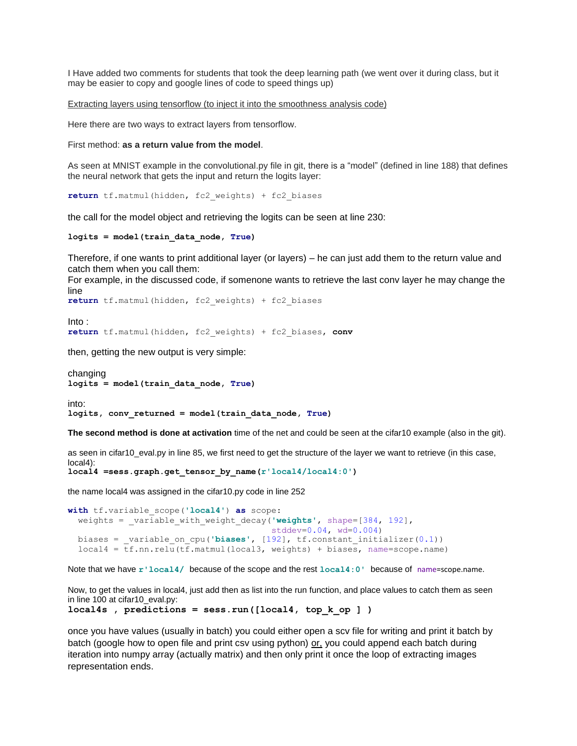I Have added two comments for students that took the deep learning path (we went over it during class, but it may be easier to copy and google lines of code to speed things up)

Extracting layers using tensorflow (to inject it into the smoothness analysis code)

Here there are two ways to extract layers from tensorflow.

First method: **as a return value from the model**.

As seen at MNIST example in the convolutional.py file in git, there is a "model" (defined in line 188) that defines the neural network that gets the input and return the logits layer:

**return** tf.matmul(hidden, fc2\_weights) + fc2\_biases

the call for the model object and retrieving the logits can be seen at line 230:

```
logits = model(train_data_node, True)
```
Therefore, if one wants to print additional layer (or layers) – he can just add them to the return value and catch them when you call them:

For example, in the discussed code, if somenone wants to retrieve the last conv layer he may change the line

```
return tf.matmul(hidden, fc2_weights) + fc2_biases
```
Into : **return** tf.matmul(hidden, fc2\_weights) + fc2\_biases, **conv**

then, getting the new output is very simple:

changing **logits = model(train\_data\_node, True)**

into: **logits, conv\_returned = model(train\_data\_node, True)**

**The second method is done at activation** time of the net and could be seen at the cifar10 example (also in the git).

as seen in cifar10\_eval.py in line 85, we first need to get the structure of the layer we want to retrieve (in this case, local4):

**local4 =sess.graph.get\_tensor\_by\_name(r'local4/local4:0')**

the name local4 was assigned in the cifar10.py code in line 252

```
with tf.variable_scope('local4') as scope:
weights = _variable_with_weight_decay('weights', shape=[384, 192],
                                        stddev=0.04, wd=0.004)
biases = _variable_on_cpu('biases', [192], tf.constant_initializer(0.1))
local4 = tf.nn.relu(tf.matmul(local3, weights) + biases, name=scope.name)
```
Note that we have **r'local4/** because of the scope and the rest **local4:0'** because of name=scope.name.

Now, to get the values in local4, just add then as list into the run function, and place values to catch them as seen in line 100 at cifar10\_eval.py:

```
local4s , predictions = sess.run([local4, top_k_op ] )
```
once you have values (usually in batch) you could either open a scv file for writing and print it batch by batch (google how to open file and print csv using python) or, you could append each batch during iteration into numpy array (actually matrix) and then only print it once the loop of extracting images representation ends.